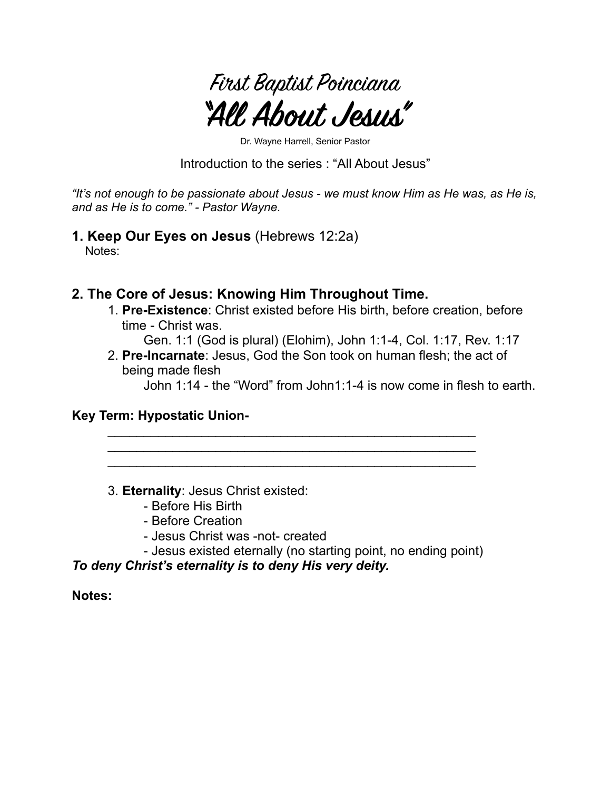First Baptist Poinciana **"All About Jesus"** 

Dr. Wayne Harrell, Senior Pastor

Introduction to the series : "All About Jesus"

*"It's not enough to be passionate about Jesus - we must know Him as He was, as He is, and as He is to come." - Pastor Wayne.* 

**1. Keep Our Eyes on Jesus** (Hebrews 12:2a) Notes:

#### **2. The Core of Jesus: Knowing Him Throughout Time.**

1. **Pre-Existence**: Christ existed before His birth, before creation, before time - Christ was.

Gen. 1:1 (God is plural) (Elohim), John 1:1-4, Col. 1:17, Rev. 1:17

2. **Pre-Incarnate**: Jesus, God the Son took on human flesh; the act of being made flesh

\_\_\_\_\_\_\_\_\_\_\_\_\_\_\_\_\_\_\_\_\_\_\_\_\_\_\_\_\_\_\_\_\_\_\_\_\_\_\_\_\_\_\_\_\_\_\_\_\_\_\_ \_\_\_\_\_\_\_\_\_\_\_\_\_\_\_\_\_\_\_\_\_\_\_\_\_\_\_\_\_\_\_\_\_\_\_\_\_\_\_\_\_\_\_\_\_\_\_\_\_\_\_ \_\_\_\_\_\_\_\_\_\_\_\_\_\_\_\_\_\_\_\_\_\_\_\_\_\_\_\_\_\_\_\_\_\_\_\_\_\_\_\_\_\_\_\_\_\_\_\_\_\_\_

John 1:14 - the "Word" from John1:1-4 is now come in flesh to earth.

#### **Key Term: Hypostatic Union-**

3. **Eternality**: Jesus Christ existed:

- Before His Birth
- Before Creation
- Jesus Christ was -not- created
- Jesus existed eternally (no starting point, no ending point)

*To deny Christ's eternality is to deny His very deity.* 

**Notes:**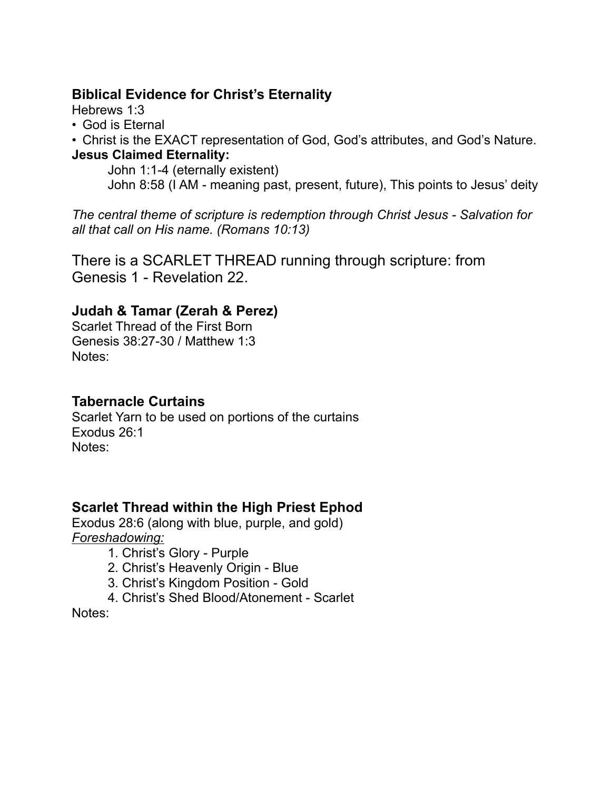# **Biblical Evidence for Christ's Eternality**

Hebrews 1:3

- God is Eternal
- Christ is the EXACT representation of God, God's attributes, and God's Nature. **Jesus Claimed Eternality:**

John 1:1-4 (eternally existent) John 8:58 (I AM - meaning past, present, future), This points to Jesus' deity

*The central theme of scripture is redemption through Christ Jesus - Salvation for all that call on His name. (Romans 10:13)* 

There is a SCARLET THREAD running through scripture: from Genesis 1 - Revelation 22.

# **Judah & Tamar (Zerah & Perez)**

Scarlet Thread of the First Born Genesis 38:27-30 / Matthew 1:3 Notes:

### **Tabernacle Curtains**

Scarlet Yarn to be used on portions of the curtains Exodus 26:1 Notes:

## **Scarlet Thread within the High Priest Ephod**

Exodus 28:6 (along with blue, purple, and gold) *Foreshadowing:* 

- 1. Christ's Glory Purple
- 2. Christ's Heavenly Origin Blue
- 3. Christ's Kingdom Position Gold
- 4. Christ's Shed Blood/Atonement Scarlet

Notes: